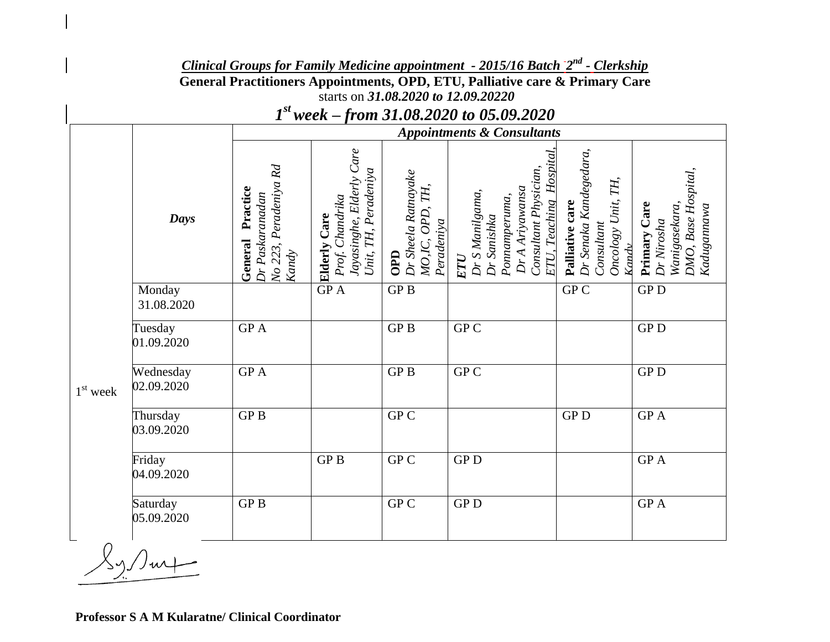*Clinical Groups for Family Medicine appointment - 2015/16 Batch 2 nd - Clerkship* **General Practitioners Appointments, OPD, ETU, Palliative care & Primary Care** starts on *31.08.2020 to 12.09.20220* 

*1 st week – from 31.08.2020 to 05.09.2020*

|                                  |                         | <b>Appointments &amp; Consultants</b>                                              |                                                                                            |                                                             |                                                                                                                                      |                                                                                           |                                                                                   |
|----------------------------------|-------------------------|------------------------------------------------------------------------------------|--------------------------------------------------------------------------------------------|-------------------------------------------------------------|--------------------------------------------------------------------------------------------------------------------------------------|-------------------------------------------------------------------------------------------|-----------------------------------------------------------------------------------|
|                                  | Days                    | Peradeniya Rd<br>Practice<br>Dr Paskaranadan<br>General<br>No 223,<br><b>Kandy</b> | Jayasinghe, Elderly Care<br>Unit, TH, Peradeniya<br>Prof. Chandrika<br><b>Elderly Care</b> | Dr Sheela Ratnayake<br>MO,IC, OPD, TH,<br>Peradeniya<br>OPD | Hospital<br>Consultant Physician,<br>Dr A Ariyawansa<br>Dr S Manilgama,<br>Ponnamperuma,<br>ETU, Teaching<br>Dr Sanishka<br>$\bm{Z}$ | Dr Senaka Kandegedara,<br>Oncology Unit, TH,<br>care<br>Consultant<br>Palliative<br>Kandy | DMO, Base Hospital,<br>Wanigasekara,<br>Primary Care<br>Kadugannawa<br>Dr Nirosha |
| $1st$ week<br>$\curvearrowright$ | Monday<br>31.08.2020    |                                                                                    | $\overline{GP}$ A                                                                          | GPB                                                         |                                                                                                                                      | ${\rm GP\,}{\rm C}$                                                                       | ${\rm GP}\, {\rm D}$                                                              |
|                                  | Tuesday<br>01.09.2020   | <b>GPA</b>                                                                         |                                                                                            | GP <sub>B</sub>                                             | GP C                                                                                                                                 |                                                                                           | <b>GPD</b>                                                                        |
|                                  | Wednesday<br>02.09.2020 | <b>GPA</b>                                                                         |                                                                                            | <b>GPB</b>                                                  | GP <sub>C</sub>                                                                                                                      |                                                                                           | ${\rm GP}\, {\rm D}$                                                              |
|                                  | Thursday<br>03.09.2020  | GP <sub>B</sub>                                                                    |                                                                                            | GP C                                                        |                                                                                                                                      | ${\rm GP}\, {\rm D}$                                                                      | $\rm{GP}$ A                                                                       |
|                                  | Friday<br>04.09.2020    |                                                                                    | GP <sub>B</sub>                                                                            | GP C                                                        | ${\rm GP}\, {\rm D}$                                                                                                                 |                                                                                           | GP A                                                                              |
|                                  | Saturday<br>05.09.2020  | GP <sub>B</sub>                                                                    |                                                                                            | GP C                                                        | ${\rm GP}\, {\rm D}$                                                                                                                 |                                                                                           | $\overline{GP}$ A                                                                 |

**Professor S A M Kularatne/ Clinical Coordinator**

 $\chi_{\gamma}/\omega$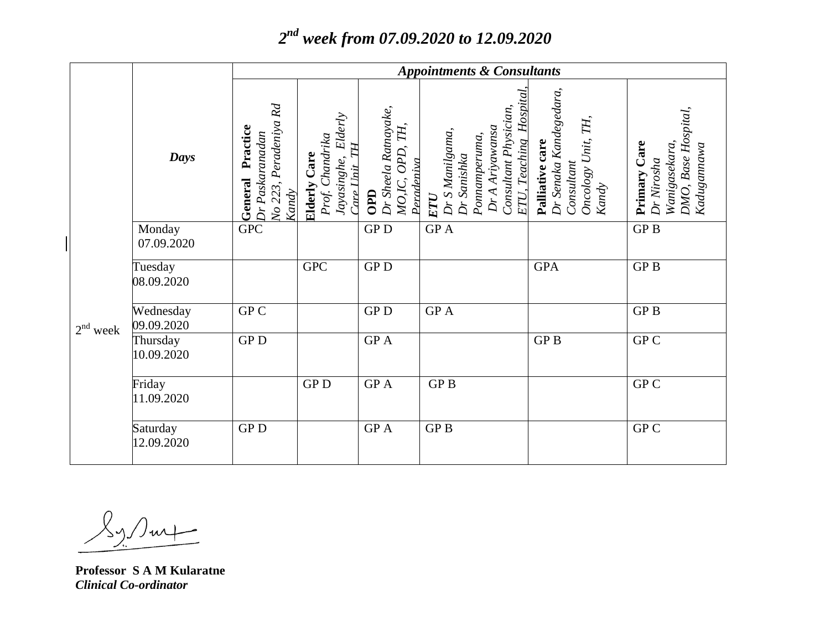## *2 nd week from 07.09.2020 to 12.09.2020*

|            |                         | <b>Appointments &amp; Consultants</b>                                       |                                                                                          |                                                                          |                                                                                                                                |                                                                                        |                                                                                   |
|------------|-------------------------|-----------------------------------------------------------------------------|------------------------------------------------------------------------------------------|--------------------------------------------------------------------------|--------------------------------------------------------------------------------------------------------------------------------|----------------------------------------------------------------------------------------|-----------------------------------------------------------------------------------|
|            | Days                    | Peradeniya Rd<br>Practice<br>Dr Paskaranadan<br>General<br>No 223,<br>Kandy | Elderly<br>Prof. Chandrika<br>TН<br><b>Elderly Care</b><br>Jayasinghe,<br>$C$ are $Unit$ | Dr Sheela Ratnayake,<br>TH,<br>OPD,<br>Pendeniva<br>MO,IC,<br><b>OPD</b> | Hospita<br>Consultant Physician,<br>Dr A Ariyawansa<br>Dr S Manilgama,<br>Ponnamperuma,<br>ETU, Teaching<br>Dr Sanishka<br>ETU | Dr Senaka Kandegedara,<br>Oncology Unit, TH,<br>Palliative care<br>Consultant<br>Kandy | DMO, Base Hospital,<br>Primary Care<br>Wanigasekara,<br>Kadugannawa<br>Dr Nirosha |
| $2nd$ week | Monday<br>07.09.2020    | <b>GPC</b>                                                                  |                                                                                          | ${\rm GP}\, {\rm D}$                                                     | GP A                                                                                                                           |                                                                                        | GP <sub>B</sub>                                                                   |
|            | Tuesday<br>08.09.2020   |                                                                             | <b>GPC</b>                                                                               | <b>GPD</b>                                                               |                                                                                                                                | <b>GPA</b>                                                                             | GP <sub>B</sub>                                                                   |
|            | Wednesday<br>09.09.2020 | GP C                                                                        |                                                                                          | <b>GPD</b>                                                               | <b>GPA</b>                                                                                                                     |                                                                                        | <b>GPB</b>                                                                        |
|            | Thursday<br>10.09.2020  | ${\rm GP}\, {\rm D}$                                                        |                                                                                          | GP A                                                                     |                                                                                                                                | GP <sub>B</sub>                                                                        | GP C                                                                              |
|            | Friday<br>11.09.2020    |                                                                             | <b>GPD</b>                                                                               | <b>GPA</b>                                                               | <b>GPB</b>                                                                                                                     |                                                                                        | GP C                                                                              |
|            | Saturday<br>12.09.2020  | <b>GPD</b>                                                                  |                                                                                          | <b>GPA</b>                                                               | GP <sub>B</sub>                                                                                                                |                                                                                        | GP C                                                                              |

 $\langle \gamma \rangle / m +$ 

**Professor S A M Kularatne** *Clinical Co-ordinator*